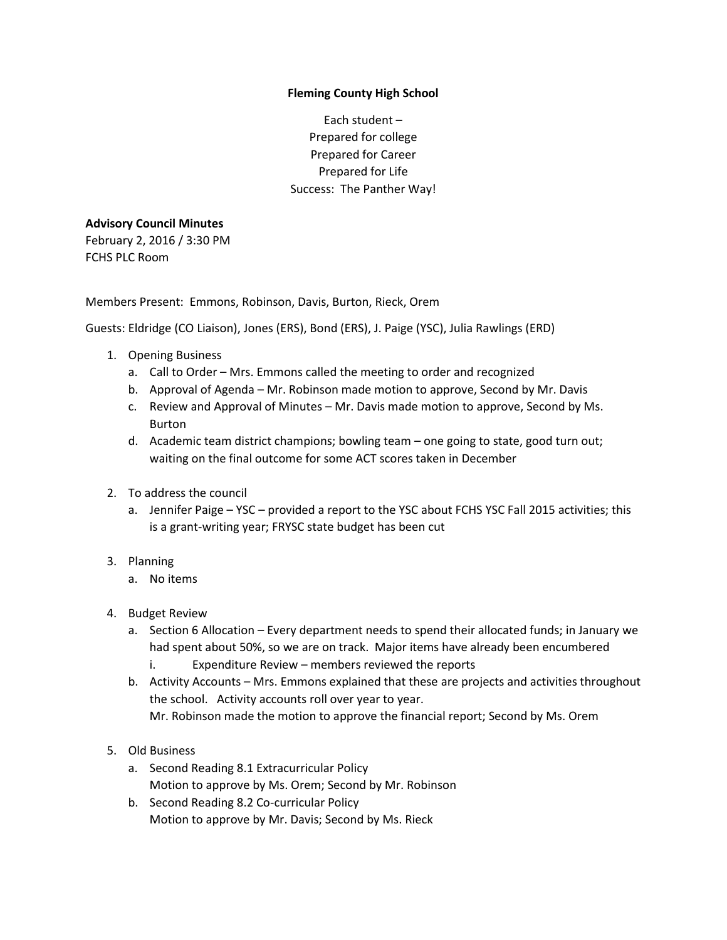## **Fleming County High School**

Each student – Prepared for college Prepared for Career Prepared for Life Success: The Panther Way!

## **Advisory Council Minutes**

February 2, 2016 / 3:30 PM FCHS PLC Room

Members Present: Emmons, Robinson, Davis, Burton, Rieck, Orem

Guests: Eldridge (CO Liaison), Jones (ERS), Bond (ERS), J. Paige (YSC), Julia Rawlings (ERD)

- 1. Opening Business
	- a. Call to Order Mrs. Emmons called the meeting to order and recognized
	- b. Approval of Agenda Mr. Robinson made motion to approve, Second by Mr. Davis
	- c. Review and Approval of Minutes Mr. Davis made motion to approve, Second by Ms. Burton
	- d. Academic team district champions; bowling team one going to state, good turn out; waiting on the final outcome for some ACT scores taken in December
- 2. To address the council
	- a. Jennifer Paige YSC provided a report to the YSC about FCHS YSC Fall 2015 activities; this is a grant-writing year; FRYSC state budget has been cut
- 3. Planning
	- a. No items
- 4. Budget Review
	- a. Section 6 Allocation Every department needs to spend their allocated funds; in January we had spent about 50%, so we are on track. Major items have already been encumbered i. Expenditure Review – members reviewed the reports
	- b. Activity Accounts Mrs. Emmons explained that these are projects and activities throughout the school. Activity accounts roll over year to year. Mr. Robinson made the motion to approve the financial report; Second by Ms. Orem
- 5. Old Business
	- a. Second Reading 8.1 Extracurricular Policy Motion to approve by Ms. Orem; Second by Mr. Robinson
	- b. Second Reading 8.2 Co-curricular Policy Motion to approve by Mr. Davis; Second by Ms. Rieck